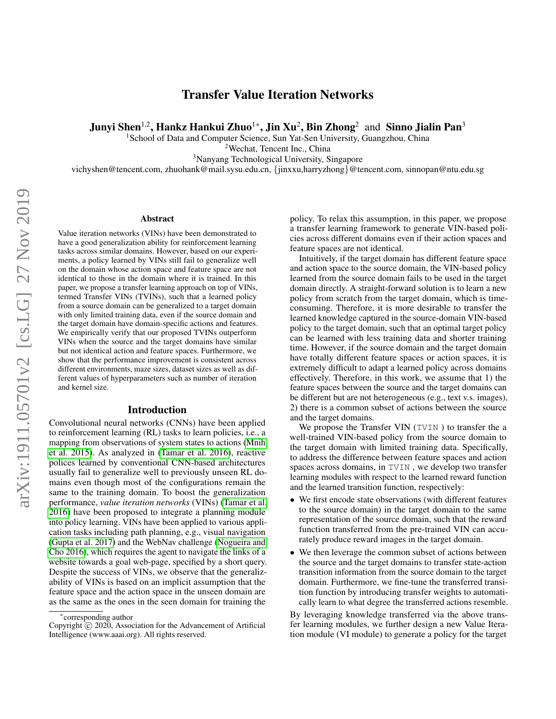# Transfer Value Iteration Networks

Junyi Shen $^{1,2}$ , Hankz Hankui Zhuo $^{1*}$ , Jin Xu $^{2}$ , Bin Zhong $^{2}\,$  and Sinno Jialin Pan $^{3}$ 

<sup>1</sup>School of Data and Computer Science, Sun Yat-Sen University, Guangzhou, China

<sup>2</sup>Wechat, Tencent Inc., China

<sup>3</sup>Nanyang Technological University, Singapore

vichyshen@tencent.com, zhuohank@mail.sysu.edu.cn, {jinxxu,harryzhong}@tencent.com, sinnopan@ntu.edu.sg

#### Abstract

Value iteration networks (VINs) have been demonstrated to have a good generalization ability for reinforcement learning tasks across similar domains. However, based on our experiments, a policy learned by VINs still fail to generalize well on the domain whose action space and feature space are not identical to those in the domain where it is trained. In this paper, we propose a transfer learning approach on top of VINs, termed Transfer VINs (TVINs), such that a learned policy from a source domain can be generalized to a target domain with only limited training data, even if the source domain and the target domain have domain-specific actions and features. We empirically verify that our proposed TVINs outperform VINs when the source and the target domains have similar but not identical action and feature spaces. Furthermore, we show that the performance improvement is consistent across different environments, maze sizes, dataset sizes as well as different values of hyperparameters such as number of iteration and kernel size.

### Introduction

Convolutional neural networks (CNNs) have been applied to reinforcement learning (RL) tasks to learn policies, i.e., a mapping from observations of system states to actions [\(Mnih](#page-7-0) et al. [2015\)](#page-7-0). As analyzed in [\(Tamar et al.](#page-7-1) 2016), reactive polices learned by conventional CNN-based architectures usually fail to generalize well to previously unseen RL domains even though most of the configurations remain the same to the training domain. To boost the generalization performance, *value iteration networks* (VINs) [\(Tamar et al.](#page-7-1) [2016\)](#page-7-1) have been proposed to integrate a planning module into policy learning. VINs have been applied to various application tasks including path planning, e.g., visual navigation [\(Gupta et al.](#page-7-2) 2017) and the WebNav challenge [\(Nogueira and](#page-7-3) [Cho 2016\)](#page-7-3), which requires the agent to navigate the links of a website towards a goal web-page, specified by a short query. Despite the success of VINs, we observe that the generalizability of VINs is based on an implicit assumption that the feature space and the action space in the unseen domain are as the same as the ones in the seen domain for training the

policy. To relax this assumption, in this paper, we propose a transfer learning framework to generate VIN-based policies across different domains even if their action spaces and feature spaces are not identical.

Intuitively, if the target domain has different feature space and action space to the source domain, the VIN-based policy learned from the source domain fails to be used in the target domain directly. A straight-forward solution is to learn a new policy from scratch from the target domain, which is timeconsuming. Therefore, it is more desirable to transfer the learned knowledge captured in the source-domain VIN-based policy to the target domain, such that an optimal target policy can be learned with less training data and shorter training time. However, if the source domain and the target domain have totally different feature spaces or action spaces, it is extremely difficult to adapt a learned policy across domains effectively. Therefore, in this work, we assume that 1) the feature spaces between the source and the target domains can be different but are not heterogeneous (e.g., text v.s. images), 2) there is a common subset of actions between the source and the target domains.

We propose the Transfer VIN (TVIN) to transfer the a well-trained VIN-based policy from the source domain to the target domain with limited training data. Specifically, to address the difference between feature spaces and action spaces across domains, in TVIN , we develop two transfer learning modules with respect to the learned reward function and the learned transition function, respectively:

- We first encode state observations (with different features to the source domain) in the target domain to the same representation of the source domain, such that the reward function transferred from the pre-trained VIN can accurately produce reward images in the target domain.
- We then leverage the common subset of actions between the source and the target domains to transfer state-action transition information from the source domain to the target domain. Furthermore, we fine-tune the transferred transition function by introducing transfer weights to automatically learn to what degree the transferred actions resemble.

By leveraging knowledge transferred via the above transfer learning modules, we further design a new Value Iteration module (VI module) to generate a policy for the target

<sup>∗</sup> corresponding author

Copyright  $\hat{c}$  2020, Association for the Advancement of Artificial Intelligence (www.aaai.org). All rights reserved.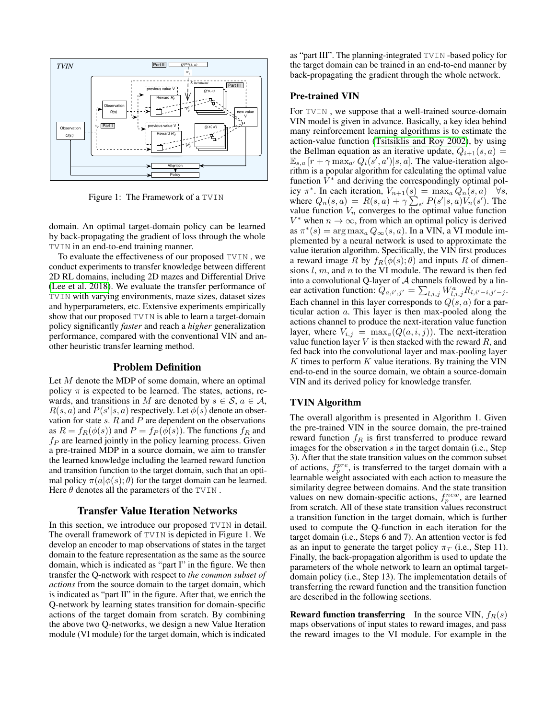

Figure 1: The Framework of a TVIN

domain. An optimal target-domain policy can be learned by back-propagating the gradient of loss through the whole TVIN in an end-to-end training manner.

To evaluate the effectiveness of our proposed TVIN , we conduct experiments to transfer knowledge between different 2D RL domains, including 2D mazes and Differential Drive [\(Lee et al.](#page-7-4) 2018). We evaluate the transfer performance of TVIN with varying environments, maze sizes, dataset sizes and hyperparameters, etc. Extensive experiments empirically show that our proposed TVIN is able to learn a target-domain policy significantly *faster* and reach a *higher* generalization performance, compared with the conventional VIN and another heuristic transfer learning method.

### Problem Definition

Let M denote the MDP of some domain, where an optimal policy  $\pi$  is expected to be learned. The states, actions, rewards, and transitions in M are denoted by  $s \in \mathcal{S}$ ,  $a \in \mathcal{A}$ ,  $R(s, a)$  and  $P(s'|s, a)$  respectively. Let  $\phi(s)$  denote an observation for state  $s$ .  $R$  and  $P$  are dependent on the observations as  $R = f_R(\phi(s))$  and  $P = f_P(\phi(s))$ . The functions  $f_R$  and  $f_P$  are learned jointly in the policy learning process. Given a pre-trained MDP in a source domain, we aim to transfer the learned knowledge including the learned reward function and transition function to the target domain, such that an optimal policy  $\pi(a|\phi(s); \theta)$  for the target domain can be learned. Here  $\theta$  denotes all the parameters of the TVIN.

### Transfer Value Iteration Networks

In this section, we introduce our proposed TVIN in detail. The overall framework of TVIN is depicted in Figure 1. We develop an encoder to map observations of states in the target domain to the feature representation as the same as the source domain, which is indicated as "part I" in the figure. We then transfer the Q-network with respect to *the common subset of actions* from the source domain to the target domain, which is indicated as "part II" in the figure. After that, we enrich the Q-network by learning states transition for domain-specific actions of the target domain from scratch. By combining the above two Q-networks, we design a new Value Iteration module (VI module) for the target domain, which is indicated

as "part III". The planning-integrated TVIN -based policy for the target domain can be trained in an end-to-end manner by back-propagating the gradient through the whole network.

### Pre-trained VIN

For TVIN , we suppose that a well-trained source-domain VIN model is given in advance. Basically, a key idea behind many reinforcement learning algorithms is to estimate the action-value function [\(Tsitsiklis and Roy 2002\)](#page-7-5), by using the Bellman equation as an iterative update,  $Q_{i+1}(s, a) =$  $\mathbb{E}_{s,a}[r + \gamma \max_{a'} Q_i(s', a') | s, a]$ . The value-iteration algorithm is a popular algorithm for calculating the optimal value function  $\hat{V}^*$  and deriving the correspondingly optimal policy  $\pi^*$ . In each iteration,  $V_{n+1}(s) = \max_a Q_n(s, a)$   $\forall s$ , where  $Q_n(s, a) = R(s, a) + \gamma \sum_{s'} P(s'|s, a) V_n(s')$ . The value function  $V_n$  converges to the optimal value function  $V^*$  when  $n \to \infty$ , from which an optimal policy is derived as  $\pi^*(s) = \arg \max_a Q_\infty(s, a)$ . In a VIN, a VI module implemented by a neural network is used to approximate the value iteration algorithm. Specifically, the VIN first produces a reward image R by  $f_R(\phi(s); \theta)$  and inputs R of dimensions  $l, m$ , and  $n$  to the VI module. The reward is then fed into a convolutional Q-layer of  $A$  channels followed by a linear activation function:  $Q_{a,i',j'} = \sum_{l,i,j} W^a_{l,i,j} R_{l,i'-i,j'-j}$ . Each channel in this layer corresponds to  $Q(s, a)$  for a particular action a. This layer is then max-pooled along the actions channel to produce the next-iteration value function layer, where  $V_{i,j} = \max_{a} (Q(a, i, j))$ . The next-iteration value function layer  $V$  is then stacked with the reward  $R$ , and fed back into the convolutional layer and max-pooling layer  $K$  times to perform  $K$  value iterations. By training the VIN end-to-end in the source domain, we obtain a source-domain VIN and its derived policy for knowledge transfer.

## TVIN Algorithm

The overall algorithm is presented in Algorithm 1. Given the pre-trained VIN in the source domain, the pre-trained reward function  $f_R$  is first transferred to produce reward images for the observation  $s$  in the target domain (i.e., Step 3). After that the state transition values on the common subset of actions,  $f_p^{pre}$ , is transferred to the target domain with a learnable weight associated with each action to measure the similarity degree between domains. And the state transition values on new domain-specific actions,  $f_p^{new}$ , are learned from scratch. All of these state transition values reconstruct a transition function in the target domain, which is further used to compute the Q-function in each iteration for the target domain (i.e., Steps 6 and 7). An attention vector is fed as an input to generate the target policy  $\pi_T$  (i.e., Step 11). Finally, the back-propagation algorithm is used to update the parameters of the whole network to learn an optimal targetdomain policy (i.e., Step 13). The implementation details of transferring the reward function and the transition function are described in the following sections.

**Reward function transferring** In the source VIN,  $f_R(s)$ maps observations of input states to reward images, and pass the reward images to the VI module. For example in the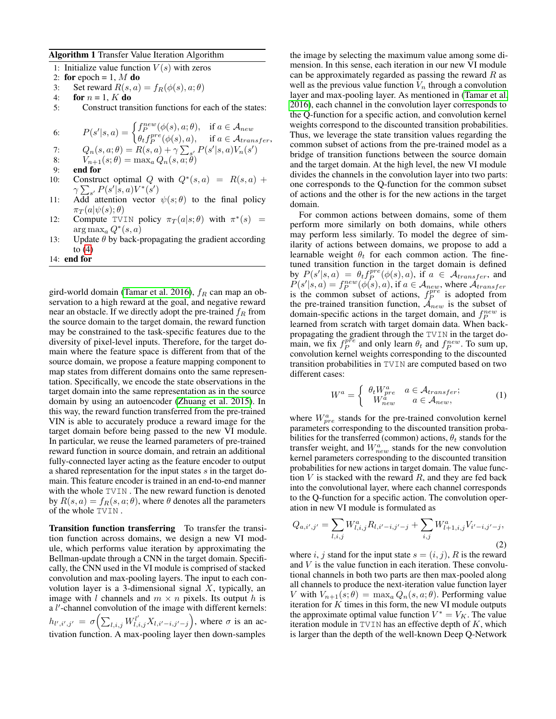#### Algorithm 1 Transfer Value Iteration Algorithm

- 1: Initialize value function  $V(s)$  with zeros
- 2: for epoch = 1,  $M$  do
- 3: Set reward  $R(s, a) = f_R(\phi(s), a; \theta)$
- 4: for  $n = 1$ , K do
- 5: Construct transition functions for each of the states:

6: 
$$
P(s'|s,a) = \begin{cases} f_P^{new}(\phi(s), a; \theta), & \text{if } a \in \mathcal{A}_{new} \\ \theta_t f_P^{pre}(\phi(s), a), & \text{if } a \in \mathcal{A}_{transfer}, \end{cases}
$$

7: 
$$
Q_n(s, a; \theta) = R(s, a) + \gamma \sum_{s'} P(s'|s, a) V_n(s')
$$
  
8:  $V_{n+1}(s; \theta) = \max_a Q_n(s, a; \theta)$ 

- 
- 9: end for

10: Construct optimal Q with  $Q^*(s, a) = R(s, a) +$  $\gamma \sum_{s'} P(s'|s,a) V^*(s')$ 

- 11: Add attention vector  $\psi(s; \theta)$  to the final policy  $\pi_T(a|\psi(s); \theta)$
- 12: Compute TVIN policy  $\pi_T(a|s;\theta)$  with  $\pi^*(s)$  =  $\arg \max_a Q^*(s, a)$
- 13: Update  $\theta$  by back-propagating the gradient according to  $(4)$
- 14: end for

gird-world domain [\(Tamar et al.](#page-7-1) 2016),  $f_R$  can map an observation to a high reward at the goal, and negative reward near an obstacle. If we directly adopt the pre-trained  $f_R$  from the source domain to the target domain, the reward function may be constrained to the task-specific features due to the diversity of pixel-level inputs. Therefore, for the target domain where the feature space is different from that of the source domain, we propose a feature mapping component to map states from different domains onto the same representation. Specifically, we encode the state observations in the target domain into the same representation as in the source domain by using an autoencoder [\(Zhuang et al.](#page-7-6) 2015). In this way, the reward function transferred from the pre-trained VIN is able to accurately produce a reward image for the target domain before being passed to the new VI module. In particular, we reuse the learned parameters of pre-trained reward function in source domain, and retrain an additional fully-connected layer acting as the feature encoder to output a shared representation for the input states s in the target domain. This feature encoder is trained in an end-to-end manner with the whole TVIN . The new reward function is denoted by  $R(s, a) = f_R(s, a; \theta)$ , where  $\theta$  denotes all the parameters of the whole TVIN .

Transition function transferring To transfer the transition function across domains, we design a new VI module, which performs value iteration by approximating the Bellman-update through a CNN in the target domain. Specifically, the CNN used in the VI module is comprised of stacked convolution and max-pooling layers. The input to each convolution layer is a 3-dimensional signal  $X$ , typically, an image with l channels and  $m \times n$  pixels. Its output h is a  $l'$ -channel convolution of the image with different kernels:  $h_{l',i',j'} = \sigma\Bigl(\sum_{l,i,j} W^{l'}_{l,i,j} X_{l,i'-i,j'-j}\Bigr)$ , where  $\sigma$  is an activation function. A max-pooling layer then down-samples

the image by selecting the maximum value among some dimension. In this sense, each iteration in our new VI module can be approximately regarded as passing the reward  $R$  as well as the previous value function  $V_n$  through a convolution layer and max-pooling layer. As mentioned in [\(Tamar et al.](#page-7-1) [2016\)](#page-7-1), each channel in the convolution layer corresponds to the Q-function for a specific action, and convolution kernel weights correspond to the discounted transition probabilities. Thus, we leverage the state transition values regarding the common subset of actions from the pre-trained model as a bridge of transition functions between the source domain and the target domain. At the high level, the new VI module divides the channels in the convolution layer into two parts: one corresponds to the Q-function for the common subset of actions and the other is for the new actions in the target domain.

For common actions between domains, some of them perform more similarly on both domains, while others may perform less similarly. To model the degree of similarity of actions between domains, we propose to add a learnable weight  $\theta_t$  for each common action. The finetuned transition function in the target domain is defined by  $P(s'|s, a) = \theta_t f_P^{pre}(\phi(s), a)$ , if  $a \in \mathcal{A}_{transfer}$ , and  $P(s'|s, a) = p^{new}_{t}(\phi(s), a)$ , if  $a \in \mathcal{A}_{new}$ , where  $\mathcal{A}_{transfer}$  and  $P(s'|s, a) = f^{new}_{p}(\phi(s), a)$ , if  $a \in \mathcal{A}_{new}$ , where  $\mathcal{A}_{transfer}$ is the common subset of actions,  $f_P^{pre}$  is adopted from the pre-trained transition function,  $\mathcal{A}_{new}$  is the subset of domain-specific actions in the target domain, and  $f_P^{new}$  is learned from scratch with target domain data. When backpropagating the gradient through the TVIN in the target domain, we fix  $f_P^{pre}$  and only learn  $\theta_t$  and  $f_P^{new}$ . To sum up, convolution kernel weights corresponding to the discounted transition probabilities in TVIN are computed based on two different cases:

$$
W^{a} = \begin{cases} \theta_{t} W_{pre}^{a} & a \in \mathcal{A}_{transfer}; \\ W_{new}^{a} & a \in \mathcal{A}_{new}, \end{cases}
$$
 (1)

where  $W_{pre}^a$  stands for the pre-trained convolution kernel parameters corresponding to the discounted transition probabilities for the transferred (common) actions,  $\theta_t$  stands for the transfer weight, and  $W_{new}^a$  stands for the new convolution kernel parameters corresponding to the discounted transition probabilities for new actions in target domain. The value function  $V$  is stacked with the reward  $R$ , and they are fed back into the convolutional layer, where each channel corresponds to the Q-function for a specific action. The convolution operation in new VI module is formulated as

$$
Q_{a,i',j'} = \sum_{l,i,j} W_{l,i,j}^a R_{l,i'-i,j'-j} + \sum_{i,j} W_{l+1,i,j}^a V_{i'-i,j'-j},
$$
\n(2)

where i, j stand for the input state  $s = (i, j)$ , R is the reward and  $V$  is the value function in each iteration. These convolutional channels in both two parts are then max-pooled along all channels to produce the next-iteration value function layer V with  $V_{n+1}(s;\theta) = \max_a Q_n(s,a;\theta)$ . Performing value iteration for  $K$  times in this form, the new VI module outputs the approximate optimal value function  $V^* = V_K$ . The value iteration module in  $TVIN$  has an effective depth of  $K$ , which is larger than the depth of the well-known Deep Q-Network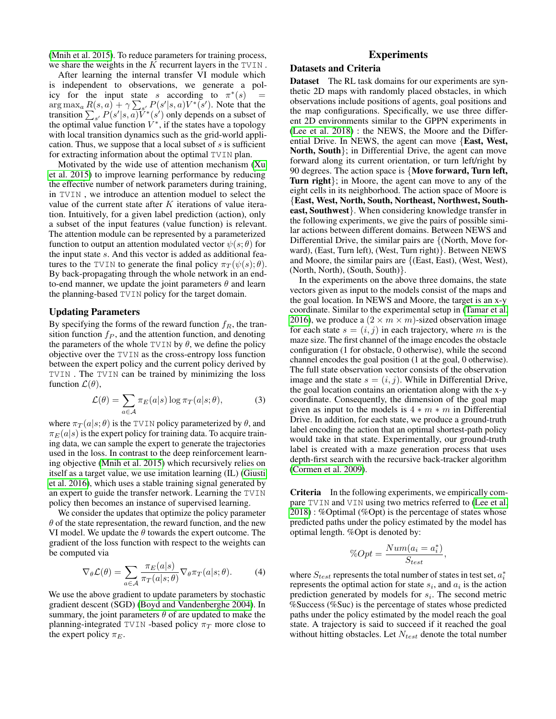[\(Mnih et al.](#page-7-0) 2015). To reduce parameters for training process, we share the weights in the  $K$  recurrent layers in the TVIN.

After learning the internal transfer VI module which is independent to observations, we generate a policy for the input state s according to  $\pi^*(s)$  =  $\arg \max_a \frac{R(s, a)}{1 + \gamma \sum_{s'} P(s'|s, a)V^*(s')$ . Note that the transition  $\sum_{s'} P(s'|s, a)\vec{V}^*(s')$  only depends on a subset of the optimal value function  $V^*$ , if the states have a topology with local transition dynamics such as the grid-world application. Thus, we suppose that a local subset of  $s$  is sufficient for extracting information about the optimal TVIN plan.

Motivated by the wide use of attention mechanism [\(Xu](#page-7-7) et al. [2015\)](#page-7-7) to improve learning performance by reducing the effective number of network parameters during training, in TVIN , we introduce an attention moduel to select the value of the current state after  $K$  iterations of value iteration. Intuitively, for a given label prediction (action), only a subset of the input features (value function) is relevant. The attention module can be represented by a parameterized function to output an attention modulated vector  $\psi(s; \theta)$  for the input state s. And this vector is added as additional features to the TVIN to generate the final policy  $\pi_T(\psi(s); \theta)$ . By back-propagating through the whole network in an endto-end manner, we update the joint parameters  $\theta$  and learn the planning-based TVIN policy for the target domain.

### Updating Parameters

By specifying the forms of the reward function  $f_R$ , the transition function  $f_P$ , and the attention function, and denoting the parameters of the whole TVIN by  $\theta$ , we define the policy objective over the TVIN as the cross-entropy loss function between the expert policy and the current policy derived by TVIN . The TVIN can be trained by minimizing the loss function  $\mathcal{L}(\theta)$ ,

$$
\mathcal{L}(\theta) = \sum_{a \in \mathcal{A}} \pi_E(a|s) \log \pi_T(a|s; \theta), \tag{3}
$$

where  $\pi_T(a|s; \theta)$  is the TVIN policy parameterized by  $\theta$ , and  $\pi_E(a|s)$  is the expert policy for training data. To acquire training data, we can sample the expert to generate the trajectories used in the loss. In contrast to the deep reinforcement learning objective [\(Mnih et al.](#page-7-0) 2015) which recursively relies on itself as a target value, we use imitation learning (IL) [\(Giusti](#page-7-8) et al. [2016\)](#page-7-8), which uses a stable training signal generated by an expert to guide the transfer network. Learning the TVIN policy then becomes an instance of supervised learning.

We consider the updates that optimize the policy parameter  $\theta$  of the state representation, the reward function, and the new VI model. We update the  $\theta$  towards the expert outcome. The gradient of the loss function with respect to the weights can be computed via

<span id="page-3-0"></span>
$$
\nabla_{\theta} \mathcal{L}(\theta) = \sum_{a \in \mathcal{A}} \frac{\pi_E(a|s)}{\pi_T(a|s;\theta)} \nabla_{\theta} \pi_T(a|s;\theta). \tag{4}
$$

We use the above gradient to update parameters by stochastic gradient descent (SGD) [\(Boyd and Vandenberghe 2004\)](#page-7-9). In summary, the joint parameters  $\theta$  of are updated to make the planning-integrated TVIN -based policy  $\pi_T$  more close to the expert policy  $\pi_E$ .

## Experiments

### Datasets and Criteria

**Dataset** The RL task domains for our experiments are synthetic 2D maps with randomly placed obstacles, in which observations include positions of agents, goal positions and the map configurations. Specifically, we use three different 2D environments similar to the GPPN experiments in [\(Lee et al.](#page-7-4) 2018) : the NEWS, the Moore and the Differential Drive. In NEWS, the agent can move {East, West, North, South}; in Differential Drive, the agent can move forward along its current orientation, or turn left/right by 90 degrees. The action space is {Move forward, Turn left, Turn right}; in Moore, the agent can move to any of the eight cells in its neighborhood. The action space of Moore is {East, West, North, South, Northeast, Northwest, Southeast, Southwest}. When considering knowledge transfer in the following experiments, we give the pairs of possible similar actions between different domains. Between NEWS and Differential Drive, the similar pairs are {(North, Move forward), (East, Turn left), (West, Turn right)}. Between NEWS and Moore, the similar pairs are {(East, East), (West, West), (North, North), (South, South)}.

In the experiments on the above three domains, the state vectors given as input to the models consist of the maps and the goal location. In NEWS and Moore, the target is an x-y coordinate. Similar to the experimental setup in [\(Tamar et al.](#page-7-1) [2016\)](#page-7-1), we produce a  $(2 \times m \times m)$ -sized observation image for each state  $s = (i, j)$  in each trajectory, where m is the maze size. The first channel of the image encodes the obstacle configuration (1 for obstacle, 0 otherwise), while the second channel encodes the goal position (1 at the goal, 0 otherwise). The full state observation vector consists of the observation image and the state  $s = (i, j)$ . While in Differential Drive, the goal location contains an orientation along with the x-y coordinate. Consequently, the dimension of the goal map given as input to the models is  $4 * m * m$  in Differential Drive. In addition, for each state, we produce a ground-truth label encoding the action that an optimal shortest-path policy would take in that state. Experimentally, our ground-truth label is created with a maze generation process that uses depth-first search with the recursive back-tracker algorithm [\(Cormen et al. 2009\)](#page-7-10).

Criteria In the following experiments, we empirically compare TVIN and VIN using two metrics referred to [\(Lee et al.](#page-7-4) [2018\)](#page-7-4) : %Optimal (%Opt) is the percentage of states whose predicted paths under the policy estimated by the model has optimal length. %Opt is denoted by:

$$
\%Opt = \frac{Num(a_i = a_i^*)}{S_{test}},
$$

where  $S_{test}$  represents the total number of states in test set,  $a_i^*$ represents the optimal action for state  $s_i$ , and  $a_i$  is the action prediction generated by models for  $s_i$ . The second metric %Success (%Suc) is the percentage of states whose predicted paths under the policy estimated by the model reach the goal state. A trajectory is said to succeed if it reached the goal without hitting obstacles. Let  $N_{test}$  denote the total number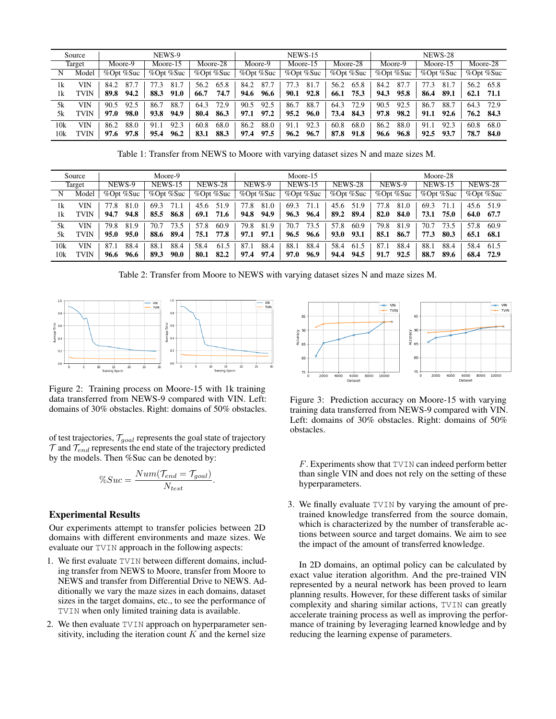|        | Source      |                 | NEWS-9                       |              |                                                 | <b>NEWS-15</b> |                                    | <b>NEWS-28</b> |              |               |  |
|--------|-------------|-----------------|------------------------------|--------------|-------------------------------------------------|----------------|------------------------------------|----------------|--------------|---------------|--|
| Target |             | Moore-9         | Moore-15                     | Moore-28     | Moore-9                                         | Moore-15       | Moore-28                           | Moore-9        | Moore-15     | Moore-28      |  |
| N      | Model       | $%$ Opt $%$ Suc | %Opt %Suc<br>$%$ Opt $%$ Suc |              | $\%$ Opt $\overline{\%}$ Suc<br>$%$ Opt $%$ Suc |                | % $\%$ Opt %Suc<br>$%$ Opt $%$ Suc |                | %Opt %Suc    | %Opt %Suc     |  |
| 1k     | VIN         | 87.<br>84.2     | 81.7<br>77.3                 | 65.8<br>56.2 | 87.7<br>84.2                                    | 81.7<br>77.3   | 65.8<br>56.2                       | 87.7<br>84.2   | 81.7<br>77.3 | 56.2<br>65.8  |  |
| 1k     | <b>TVIN</b> | 94.2<br>89.8    | 88.3<br>91.0                 | 74.7<br>66.7 | 96.6<br>94.6                                    | 92.8<br>90.1   | 75.3<br>66.1                       | 95.8<br>94.3   | 86.4<br>89.1 | 62.1<br>-71.1 |  |
| 5k     | VIN         | 92.5<br>90.5    | 88.7<br>86.7                 | 72.9<br>64.3 | 92.5<br>90.5                                    | 88.7<br>86.7   | 72.9<br>64.3                       | 90.5<br>92.5   | 88.7<br>86.7 | 64.3<br>72.9  |  |
| 5k     | TVIN        | 98.0<br>97.0    | 93.8<br>94.9                 | 86.3<br>80.4 | 97.2<br>97.1                                    | 95.2<br>96.0   | 73.4<br>84.3                       | 98.2<br>97.8   | 91.1<br>92.6 | 76.2<br>84.3  |  |
| 10k    | VIN         | 88.0<br>86.2    | 92.3<br>91.1                 | 68.0<br>60.8 | 88.0<br>86.2                                    | 92.3<br>91.1   | 68.0<br>60.8                       | 88.0<br>86.2   | 91.1<br>92.3 | 60.8<br>68.0  |  |
| 10k    | TVIN        | 97.8<br>97.6    | 96.2<br>95.4                 | 88.3<br>83.1 | 97.5<br>97.4                                    | 96.7<br>96.2   | 87.8<br>91.8                       | 96.8<br>96.6   | 93.7<br>92.5 | 78.7<br>84.0  |  |

Table 1: Transfer from NEWS to Moore with varying dataset sizes N and maze sizes M.

| Moore-9<br>Source |       |                          |                        |         | Moore-15                     |      |                          |      | Moore-28               |         |      |           |      |                |      |                |      |      |      |
|-------------------|-------|--------------------------|------------------------|---------|------------------------------|------|--------------------------|------|------------------------|---------|------|-----------|------|----------------|------|----------------|------|------|------|
| Target            |       | NEWS-9<br><b>NEWS-15</b> |                        | NEWS-28 |                              |      | NEWS-9<br><b>NEWS-15</b> |      |                        | NEWS-28 |      | NEWS-9    |      | <b>NEWS-15</b> |      | <b>NEWS-28</b> |      |      |      |
| N                 | Model |                          | %Opt %Suc<br>%Opt %Suc |         | %Opt %Suc<br>$%$ Opt $%$ Suc |      | %Opt %Suc<br>%Opt %Suc   |      | %Opt %Suc<br>%Opt %Suc |         |      | %Opt %Suc |      |                |      |                |      |      |      |
| 1k                | VIN   | 77.8                     | 81.0                   | 69.3    | 71.1                         | 45.6 | 51.9                     | 77.8 | 81.0                   | 69.3    | 71.1 | 45.6      | 51.9 | 77.8           | 81.0 | 69.3           |      | 45.6 | 51.9 |
| 1k                | TVIN  | 94.7                     | 94.8                   | 85.5    | 86.8                         | 69.1 | 71.6                     | 94.8 | 94.9                   | 96.3    | 96.4 | 89.2      | 89.4 | 82.0           | 84.0 | 73.1           | 75.0 | 64.0 | 67.7 |
| 5k                | VIN   | 79.8                     | 81.9                   | 70.7    | 73.5                         | 57.8 | 60.9                     | 79.8 | 81.9                   | 70.7    | 73.5 | 57.8      | 60.9 | 79.8           | 81.9 | 70.7           | 73.5 | 57.8 | 60.9 |
| 5k                | "VIN  | 95.0                     | 95.0                   | 88.6    | 89.4                         | 75.1 | 77.8                     | 97.1 | 97.1                   | 96.5    | 96.6 | 93.0      | 93.1 | 85.1           | 86.7 | 77.3           | 80.3 | 65.1 | 68.1 |
| 10k               | VIN   | 87.1                     | 88.4                   | 88.1    | 88.4                         | 58.4 | 61.5                     | 87.1 | 88.4                   | 88.1    | 88.4 | 58.4      | 61.5 | 87.1           | 88.4 | 88.1           | 88.4 | 58.4 | 61.5 |
| 10k               | TVIN  | 96.6                     | 96.6                   | 89.3    | 90.0                         | 80.1 | 82.2                     | 97.4 | 97.4                   | 97.0    | 96.9 | 94.4      | 94.5 | 91.7           | 92.5 | 88.7           | 89.6 | 68.4 | 72.9 |

Table 2: Transfer from Moore to NEWS with varying dataset sizes N and maze sizes M.



Figure 2: Training process on Moore-15 with 1k training data transferred from NEWS-9 compared with VIN. Left: domains of 30% obstacles. Right: domains of 50% obstacles.

of test trajectories,  $T_{goal}$  represents the goal state of trajectory  $T$  and  $T_{end}$  represents the end state of the trajectory predicted by the models. Then %Suc can be denoted by:

$$
\%Suc = \frac{Num(\mathcal{T}_{end} = \mathcal{T}_{goal})}{N_{test}}.
$$

### Experimental Results

Our experiments attempt to transfer policies between 2D domains with different environments and maze sizes. We evaluate our TVIN approach in the following aspects:

- 1. We first evaluate TVIN between different domains, including transfer from NEWS to Moore, transfer from Moore to NEWS and transfer from Differential Drive to NEWS. Additionally we vary the maze sizes in each domains, dataset sizes in the target domains, etc., to see the performance of TVIN when only limited training data is available.
- 2. We then evaluate TVIN approach on hyperparameter sensitivity, including the iteration count  $K$  and the kernel size



Figure 3: Prediction accuracy on Moore-15 with varying training data transferred from NEWS-9 compared with VIN. Left: domains of 30% obstacles. Right: domains of 50% obstacles.

F. Experiments show that TVIN can indeed perform better than single VIN and does not rely on the setting of these hyperparameters.

3. We finally evaluate TVIN by varying the amount of pretrained knowledge transferred from the source domain, which is characterized by the number of transferable actions between source and target domains. We aim to see the impact of the amount of transferred knowledge.

In 2D domains, an optimal policy can be calculated by exact value iteration algorithm. And the pre-trained VIN represented by a neural network has been proved to learn planning results. However, for these different tasks of similar complexity and sharing similar actions, TVIN can greatly accelerate training process as well as improving the performance of training by leveraging learned knowledge and by reducing the learning expense of parameters.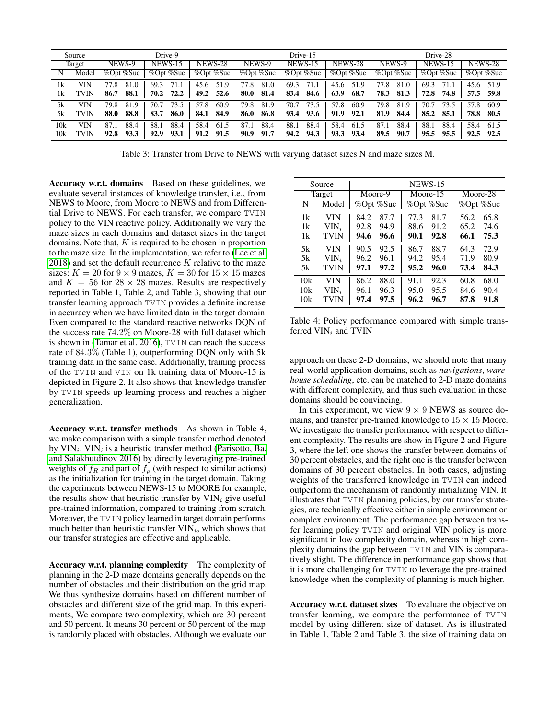|        | Source |                          | Drive-9      |                          |              | Drive-15                        |              | Drive-28               |                |                |  |
|--------|--------|--------------------------|--------------|--------------------------|--------------|---------------------------------|--------------|------------------------|----------------|----------------|--|
| Target |        | NEWS-9<br><b>NEWS-15</b> |              | <b>NEWS-28</b><br>NEWS-9 |              | <b>NEWS-15</b>                  | NEWS-28      | NEWS-9                 | <b>NEWS-15</b> | <b>NEWS-28</b> |  |
| N      | Model  | %Opt %Suc<br>%Opt %Suc   |              | %Opt %Suc                | %Opt %Suc    | $%$ Opt %Suc<br>% $\%$ Opt %Suc |              | %Opt %Suc<br>%Opt %Suc |                | %Opt %Suc      |  |
| 1k     | VIN    | 81.0<br>77.8             | 71.1<br>69.3 | 51.9<br>45.6             | 77.8<br>81.0 | 69.3<br>71.1                    | 51.9<br>45.6 | 81.0<br>77.8           | 69.3<br>71.1   | 45.6<br>51.9   |  |
| 1k     | TVIN   | 88.1<br>86.7             | 72.2<br>70.2 | 52.6<br>49.2             | 81.4<br>80.0 | 84.6<br>83.4                    | 63.9<br>68.7 | 78.3<br>81.3           | 72.8<br>74.8   | 57.5 59.8      |  |
| 5k     | VIN    | 79.8<br>81.9             | 73.5<br>70.7 | 57.8<br>60.9             | 79.8<br>81.9 | 70.7<br>73.5                    | 57.8<br>60.9 | 79.8<br>81.9           | 70.7<br>73.5   | 57.8<br>60.9   |  |
| 5k     | TVIN   | 88.8<br>88.0             | 83.7<br>86.0 | 84.9<br>84.1             | 86.8<br>86.0 | 93.6<br>93.4                    | 91.9<br>92.1 | 81.9<br>84.4           | 85.2<br>85.1   | 78.8<br>-80.5  |  |
| 10k    | VIN    | 88.4<br>87.1             | 88.4<br>88.1 | 58.4<br>61.5             | 88.4<br>87.1 | 88.4<br>88.1                    | 58.4<br>61.5 | 88.4<br>87.1           | 88.1<br>88.4   | 58.4<br>61.5   |  |
| 10k    | TVIN   | 93.3<br>92.8             | 93.1<br>92.9 | 91.5<br>91.2             | 90.9<br>91.7 | 94.3<br>94.2                    | 93.4<br>93.3 | 90.7<br>89.5           | 95.5<br>95.5   | 92.5 92.5      |  |

Table 3: Transfer from Drive to NEWS with varying dataset sizes N and maze sizes M.

Accuracy w.r.t. domains Based on these guidelines, we evaluate several instances of knowledge transfer, i.e., from NEWS to Moore, from Moore to NEWS and from Differential Drive to NEWS. For each transfer, we compare TVIN policy to the VIN reactive policy. Additionally we vary the maze sizes in each domains and dataset sizes in the target domains. Note that,  $K$  is required to be chosen in proportion to the maze size. In the implementation, we refer to [\(Lee et al.](#page-7-4)  $2018$ ) and set the default recurrence K relative to the maze sizes:  $K = 20$  for  $9 \times 9$  mazes,  $K = 30$  for  $15 \times 15$  mazes and  $K = 56$  for  $28 \times 28$  mazes. Results are respectively reported in Table 1, Table 2, and Table 3, showing that our transfer learning approach TVIN provides a definite increase in accuracy when we have limited data in the target domain. Even compared to the standard reactive networks DQN of the success rate 74.2% on Moore-28 with full dataset which is shown in [\(Tamar et al.](#page-7-1) 2016), TVIN can reach the success rate of 84.3% (Table 1), outperforming DQN only with 5k training data in the same case. Additionally, training process of the TVIN and VIN on 1k training data of Moore-15 is depicted in Figure 2. It also shows that knowledge transfer by TVIN speeds up learning process and reaches a higher generalization.

Accuracy w.r.t. transfer methods As shown in Table 4, we make comparison with a simple transfer method denoted by  $VIN_i$ .  $VIN_i$  is a heuristic transfer method [\(Parisotto, Ba,](#page-7-11) [and Salakhutdinov 2016\)](#page-7-11) by directly leveraging pre-trained weights of  $f_R$  and part of  $f_p$  (with respect to similar actions) as the initialization for training in the target domain. Taking the experiments between NEWS-15 to MOORE for example, the results show that heuristic transfer by  $VIN_i$  give useful pre-trained information, compared to training from scratch. Moreover, the TVIN policy learned in target domain performs much better than heuristic transfer  $VIN_i$ , which shows that our transfer strategies are effective and applicable.

Accuracy w.r.t. planning complexity The complexity of planning in the 2-D maze domains generally depends on the number of obstacles and their distribution on the grid map. We thus synthesize domains based on different number of obstacles and different size of the grid map. In this experiments, We compare two complexity, which are 30 percent and 50 percent. It means 30 percent or 50 percent of the map is randomly placed with obstacles. Although we evaluate our

|     | Source      | <b>NEWS-15</b> |         |      |           |           |      |  |  |  |
|-----|-------------|----------------|---------|------|-----------|-----------|------|--|--|--|
|     | Target      |                | Moore-9 |      | Moore-15  | Moore-28  |      |  |  |  |
| N   | Model       | %Opt %Suc      |         |      | %Opt %Suc | %Opt %Suc |      |  |  |  |
| 1k  | VIN         | 84.2           | 87.7    | 77.3 | 81.7      | 56.2      | 65.8 |  |  |  |
| 1k  | $VIN_i$     | 92.8           | 94.9    | 88.6 | 91.2      | 65.2      | 74.6 |  |  |  |
| 1k  | <b>TVIN</b> | 94.6           | 96.6    | 90.1 | 92.8      | 66.1      | 75.3 |  |  |  |
| 5k  | VIN         | 90.5           | 92.5    | 86.7 | 88.7      | 64.3      | 72.9 |  |  |  |
| 5k  | $VIN_i$     | 96.2           | 96.1    | 94.2 | 95.4      | 71.9      | 80.9 |  |  |  |
| 5k  | <b>TVIN</b> | 97.1           | 97.2    | 95.2 | 96.0      | 73.4      | 84.3 |  |  |  |
| 10k | VIN         | 86.2           | 88.0    | 91.1 | 92.3      | 60.8      | 68.0 |  |  |  |
| 10k | $VIN_i$     | 96.1           | 96.3    | 95.0 | 95.5      | 84.6      | 90.4 |  |  |  |
| 10k | <b>TVIN</b> | 97.4           | 97.5    | 96.2 | 96.7      | 87.8      | 91.8 |  |  |  |

Table 4: Policy performance compared with simple transferred  $VIN_i$  and  $TVIN$ 

approach on these 2-D domains, we should note that many real-world application domains, such as *navigations*, *warehouse scheduling*, etc. can be matched to 2-D maze domains with different complexity, and thus such evaluation in these domains should be convincing.

In this experiment, we view  $9 \times 9$  NEWS as source domains, and transfer pre-trained knowledge to  $15 \times 15$  Moore. We investigate the transfer performance with respect to different complexity. The results are show in Figure 2 and Figure 3, where the left one shows the transfer between domains of 30 percent obstacles, and the right one is the transfer between domains of 30 percent obstacles. In both cases, adjusting weights of the transferred knowledge in TVIN can indeed outperform the mechanism of randomly initializing VIN. It illustrates that TVIN planning policies, by our transfer strategies, are technically effective either in simple environment or complex environment. The performance gap between transfer learning policy TVIN and original VIN policy is more significant in low complexity domain, whereas in high complexity domains the gap between TVIN and VIN is comparatively slight. The difference in performance gap shows that it is more challenging for TVIN to leverage the pre-trained knowledge when the complexity of planning is much higher.

Accuracy w.r.t. dataset sizes To evaluate the objective on transfer learning, we compare the performance of TVIN model by using different size of dataset. As is illustrated in Table 1, Table 2 and Table 3, the size of training data on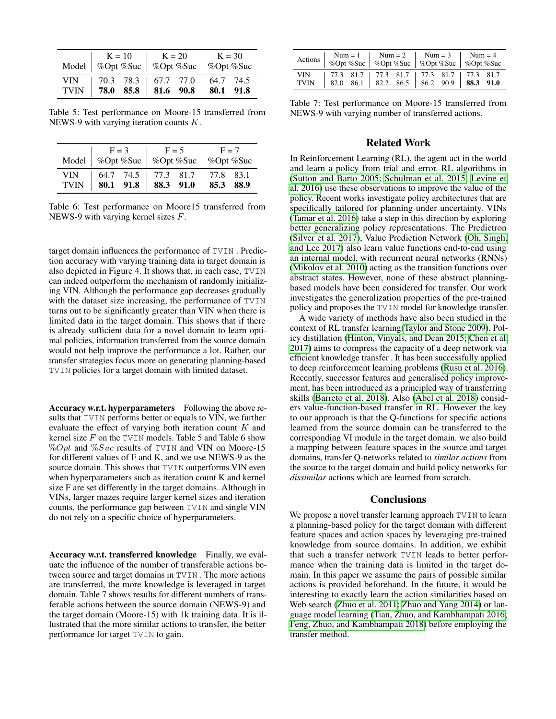|        | $K = 10$ $K = 20$ $K = 30$<br>Model   %Opt %Suc   %Opt %Suc   %Opt %Suc |  |  |  |
|--------|-------------------------------------------------------------------------|--|--|--|
| VIN 11 | 70.3 78.3   67.7 77.0   64.7 74.5<br>TVIN 78.0 85.8 81.6 90.8 80.1 91.8 |  |  |  |

Table 5: Test performance on Moore-15 transferred from NEWS-9 with varying iteration counts K.

|                           | $F = 3$ |                     | $F = 5$ |                               | $F = 7$<br>Model   %Opt %Suc   %Opt %Suc   %Opt %Suc |  |  |
|---------------------------|---------|---------------------|---------|-------------------------------|------------------------------------------------------|--|--|
| <b>VIN</b><br><b>TVIN</b> |         | 80.1 91.8 88.3 91.0 |         | 64.7 74.5 77.3 81.7 77.8 83.1 | 85.388.9                                             |  |  |

Table 6: Test performance on Moore15 transferred from NEWS-9 with varying kernel sizes F.

target domain influences the performance of TVIN . Prediction accuracy with varying training data in target domain is also depicted in Figure 4. It shows that, in each case, TVIN can indeed outperform the mechanism of randomly initializing VIN. Although the performance gap decreases gradually with the dataset size increasing, the performance of TVIN turns out to be significantly greater than VIN when there is limited data in the target domain. This shows that if there is already sufficient data for a novel domain to learn optimal policies, information transferred from the source domain would not help improve the performance a lot. Rather, our transfer strategies focus more on generating planning-based TVIN policies for a target domain with limited dataset.

Accuracy w.r.t. hyperparameters Following the above results that TVIN performs better or equals to VIN, we further evaluate the effect of varying both iteration count K and kernel size  $F$  on the TVIN models. Table 5 and Table 6 show  $\%Opt$  and  $\%Suc$  results of TVIN and VIN on Moore-15 for different values of F and K, and we use NEWS-9 as the source domain. This shows that **TVIN** outperforms VIN even when hyperparameters such as iteration count K and kernel size F are set differently in the target domains. Although in VINs, larger mazes require larger kernel sizes and iteration counts, the performance gap between TVIN and single VIN do not rely on a specific choice of hyperparameters.

Accuracy w.r.t. transferred knowledge Finally, we evaluate the influence of the number of transferable actions between source and target domains in TVIN . The more actions are transferred, the more knowledge is leveraged in target domain. Table 7 shows results for different numbers of transferable actions between the source domain (NEWS-9) and the target domain (Moore-15) with 1k training data. It is illustrated that the more similar actions to transfer, the better performance for target TVIN to gain.

| Actions            | $Num = 1$<br>%Opt %Suc   %Opt %Suc   %Opt %Suc   %Opt %Suc |  | $\ln 2$ |  |                                                                                                 | $Num = 3$ $Num = 4$ |  |
|--------------------|------------------------------------------------------------|--|---------|--|-------------------------------------------------------------------------------------------------|---------------------|--|
| VIN<br><b>TVIN</b> |                                                            |  |         |  | 77.3 81.7 77.3 81.7 77.3 81.7 77.3 81.7<br>82.0 86.1   82.2 86.5   86.2 90.9   <b>88.3 91.0</b> |                     |  |

Table 7: Test performance on Moore-15 transferred from NEWS-9 with varying number of transferred actions.

### Related Work

In Reinforcement Learning (RL), the agent act in the world and learn a policy from trial and error. RL algorithms in [\(Sutton and Barto 2005;](#page-7-12) [Schulman et al.](#page-7-13) 2015; [Levine et](#page-7-14) al. [2016\)](#page-7-14) use these observations to improve the value of the policy. Recent works investigate policy architectures that are specifically tailored for planning under uncertainty. VINs [\(Tamar et al.](#page-7-1) 2016) take a step in this direction by exploring better generalizing policy representations. The Predictron [\(Silver et al.](#page-7-15) 2017), Value Prediction Network [\(Oh, Singh,](#page-7-16) [and Lee 2017\)](#page-7-16) also learn value functions end-to-end using an internal model, with recurrent neural networks (RNNs) [\(Mikolov et al.](#page-7-17) 2010) acting as the transition functions over abstract states. However, none of these abstract planningbased models have been considered for transfer. Our work investigates the generalization properties of the pre-trained policy and proposes the TVIN model for knowledge transfer.

A wide variety of methods have also been studied in the context of RL transfer learning[\(Taylor and Stone 2009\)](#page-7-18). Policy distillation [\(Hinton, Vinyals, and Dean 2015;](#page-7-19) [Chen et al.](#page-7-20) [2017\)](#page-7-20) aims to compress the capacity of a deep network via efficient knowledge transfer . It has been successfully applied to deep reinforcement learning problems [\(Rusu et al.](#page-7-21) 2016). Recently, successor features and generalised policy improvement, has been introduced as a principled way of transferring skills [\(Barreto et al.](#page-7-22) 2018). Also [\(Abel et al.](#page-7-23) 2018) considers value-function-based transfer in RL. However the key to our approach is that the Q-functions for specific actions learned from the source domain can be transferred to the corresponding VI module in the target domain. we also build a mapping between feature spaces in the source and target domains, transfer Q-networks related to *similar actions* from the source to the target domain and build policy networks for *dissimilar* actions which are learned from scratch.

## **Conclusions**

We propose a novel transfer learning approach TVIN to learn a planning-based policy for the target domain with different feature spaces and action spaces by leveraging pre-trained knowledge from source domains. In addition, we exhibit that such a transfer network TVIN leads to better performance when the training data is limited in the target domain. In this paper we assume the pairs of possible similar actions is provided beforehand. In the future, it would be interesting to exactly learn the action similarities based on Web search [\(Zhuo et al.](#page-8-0) 2011; [Zhuo and Yang 2014\)](#page-8-1) or language model learning [\(Tian, Zhuo, and Kambhampati 2016;](#page-7-24) [Feng, Zhuo, and Kambhampati 2018\)](#page-7-25) before employing the transfer method.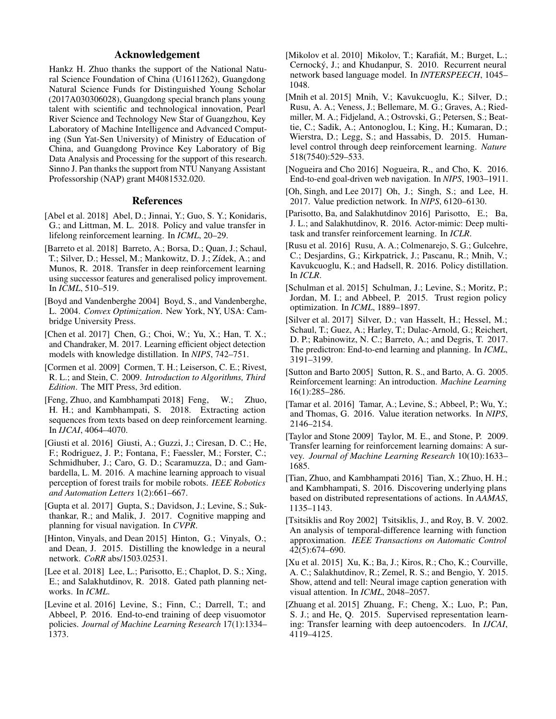## Acknowledgement

Hankz H. Zhuo thanks the support of the National Natural Science Foundation of China (U1611262), Guangdong Natural Science Funds for Distinguished Young Scholar (2017A030306028), Guangdong special branch plans young talent with scientific and technological innovation, Pearl River Science and Technology New Star of Guangzhou, Key Laboratory of Machine Intelligence and Advanced Computing (Sun Yat-Sen University) of Ministry of Education of China, and Guangdong Province Key Laboratory of Big Data Analysis and Processing for the support of this research. Sinno J. Pan thanks the support from NTU Nanyang Assistant Professorship (NAP) grant M4081532.020.

## References

- <span id="page-7-23"></span>[Abel et al. 2018] Abel, D.; Jinnai, Y.; Guo, S. Y.; Konidaris, G.; and Littman, M. L. 2018. Policy and value transfer in lifelong reinforcement learning. In *ICML*, 20–29.
- <span id="page-7-22"></span>[Barreto et al. 2018] Barreto, A.; Borsa, D.; Quan, J.; Schaul, T.; Silver, D.; Hessel, M.; Mankowitz, D. J.; Zídek, A.; and Munos, R. 2018. Transfer in deep reinforcement learning using successor features and generalised policy improvement. In *ICML*, 510–519.
- <span id="page-7-9"></span>[Boyd and Vandenberghe 2004] Boyd, S., and Vandenberghe, L. 2004. *Convex Optimization*. New York, NY, USA: Cambridge University Press.
- <span id="page-7-20"></span>[Chen et al. 2017] Chen, G.; Choi, W.; Yu, X.; Han, T. X.; and Chandraker, M. 2017. Learning efficient object detection models with knowledge distillation. In *NIPS*, 742–751.
- <span id="page-7-10"></span>[Cormen et al. 2009] Cormen, T. H.; Leiserson, C. E.; Rivest, R. L.; and Stein, C. 2009. *Introduction to Algorithms, Third Edition*. The MIT Press, 3rd edition.
- <span id="page-7-25"></span>[Feng, Zhuo, and Kambhampati 2018] Feng, W.; Zhuo, H. H.; and Kambhampati, S. 2018. Extracting action sequences from texts based on deep reinforcement learning. In *IJCAI*, 4064–4070.
- <span id="page-7-8"></span>[Giusti et al. 2016] Giusti, A.; Guzzi, J.; Ciresan, D. C.; He, F.; Rodriguez, J. P.; Fontana, F.; Faessler, M.; Forster, C.; Schmidhuber, J.; Caro, G. D.; Scaramuzza, D.; and Gambardella, L. M. 2016. A machine learning approach to visual perception of forest trails for mobile robots. *IEEE Robotics and Automation Letters* 1(2):661–667.
- <span id="page-7-2"></span>[Gupta et al. 2017] Gupta, S.; Davidson, J.; Levine, S.; Sukthankar, R.; and Malik, J. 2017. Cognitive mapping and planning for visual navigation. In *CVPR*.
- <span id="page-7-19"></span>[Hinton, Vinyals, and Dean 2015] Hinton, G.; Vinyals, O.; and Dean, J. 2015. Distilling the knowledge in a neural network. *CoRR* abs/1503.02531.
- <span id="page-7-4"></span>[Lee et al. 2018] Lee, L.; Parisotto, E.; Chaplot, D. S.; Xing, E.; and Salakhutdinov, R. 2018. Gated path planning networks. In *ICML*.
- <span id="page-7-14"></span>[Levine et al. 2016] Levine, S.; Finn, C.; Darrell, T.; and Abbeel, P. 2016. End-to-end training of deep visuomotor policies. *Journal of Machine Learning Research* 17(1):1334– 1373.
- <span id="page-7-17"></span>[Mikolov et al. 2010] Mikolov, T.; Karafiát, M.; Burget, L.; Cernocky, J.; and Khudanpur, S. 2010. Recurrent neural ´ network based language model. In *INTERSPEECH*, 1045– 1048.
- <span id="page-7-0"></span>[Mnih et al. 2015] Mnih, V.; Kavukcuoglu, K.; Silver, D.; Rusu, A. A.; Veness, J.; Bellemare, M. G.; Graves, A.; Riedmiller, M. A.; Fidjeland, A.; Ostrovski, G.; Petersen, S.; Beattie, C.; Sadik, A.; Antonoglou, I.; King, H.; Kumaran, D.; Wierstra, D.; Legg, S.; and Hassabis, D. 2015. Humanlevel control through deep reinforcement learning. *Nature* 518(7540):529–533.
- <span id="page-7-3"></span>[Nogueira and Cho 2016] Nogueira, R., and Cho, K. 2016. End-to-end goal-driven web navigation. In *NIPS*, 1903–1911.
- <span id="page-7-16"></span>[Oh, Singh, and Lee 2017] Oh, J.; Singh, S.; and Lee, H. 2017. Value prediction network. In *NIPS*, 6120–6130.
- <span id="page-7-11"></span>[Parisotto, Ba, and Salakhutdinov 2016] Parisotto, E.; Ba, J. L.; and Salakhutdinov, R. 2016. Actor-mimic: Deep multitask and transfer reinforcement learning. In *ICLR*.
- <span id="page-7-21"></span>[Rusu et al. 2016] Rusu, A. A.; Colmenarejo, S. G.; Gulcehre, C.; Desjardins, G.; Kirkpatrick, J.; Pascanu, R.; Mnih, V.; Kavukcuoglu, K.; and Hadsell, R. 2016. Policy distillation. In *ICLR*.
- <span id="page-7-13"></span>[Schulman et al. 2015] Schulman, J.; Levine, S.; Moritz, P.; Jordan, M. I.; and Abbeel, P. 2015. Trust region policy optimization. In *ICML*, 1889–1897.
- <span id="page-7-15"></span>[Silver et al. 2017] Silver, D.; van Hasselt, H.; Hessel, M.; Schaul, T.; Guez, A.; Harley, T.; Dulac-Arnold, G.; Reichert, D. P.; Rabinowitz, N. C.; Barreto, A.; and Degris, T. 2017. The predictron: End-to-end learning and planning. In *ICML*, 3191–3199.
- <span id="page-7-12"></span>[Sutton and Barto 2005] Sutton, R. S., and Barto, A. G. 2005. Reinforcement learning: An introduction. *Machine Learning* 16(1):285–286.
- <span id="page-7-1"></span>[Tamar et al. 2016] Tamar, A.; Levine, S.; Abbeel, P.; Wu, Y.; and Thomas, G. 2016. Value iteration networks. In *NIPS*, 2146–2154.
- <span id="page-7-18"></span>[Taylor and Stone 2009] Taylor, M. E., and Stone, P. 2009. Transfer learning for reinforcement learning domains: A survey. *Journal of Machine Learning Research* 10(10):1633– 1685.
- <span id="page-7-24"></span>[Tian, Zhuo, and Kambhampati 2016] Tian, X.; Zhuo, H. H.; and Kambhampati, S. 2016. Discovering underlying plans based on distributed representations of actions. In *AAMAS*, 1135–1143.
- <span id="page-7-5"></span>[Tsitsiklis and Roy 2002] Tsitsiklis, J., and Roy, B. V. 2002. An analysis of temporal-difference learning with function approximation. *IEEE Transactions on Automatic Control* 42(5):674–690.
- <span id="page-7-7"></span>[Xu et al. 2015] Xu, K.; Ba, J.; Kiros, R.; Cho, K.; Courville, A. C.; Salakhutdinov, R.; Zemel, R. S.; and Bengio, Y. 2015. Show, attend and tell: Neural image caption generation with visual attention. In *ICML*, 2048–2057.
- <span id="page-7-6"></span>[Zhuang et al. 2015] Zhuang, F.; Cheng, X.; Luo, P.; Pan, S. J.; and He, Q. 2015. Supervised representation learning: Transfer learning with deep autoencoders. In *IJCAI*, 4119–4125.